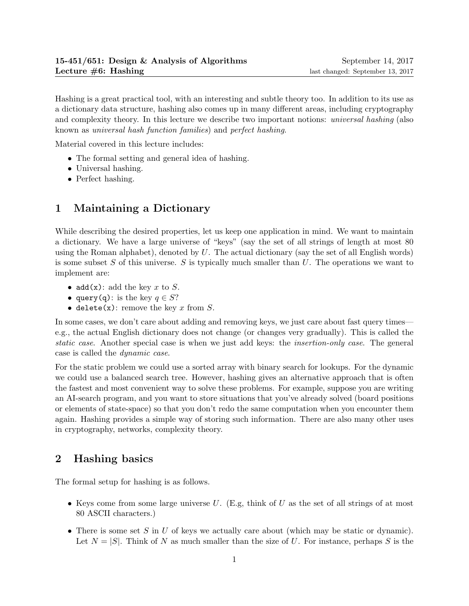Hashing is a great practical tool, with an interesting and subtle theory too. In addition to its use as a dictionary data structure, hashing also comes up in many different areas, including cryptography and complexity theory. In this lecture we describe two important notions: universal hashing (also known as universal hash function families) and perfect hashing.

Material covered in this lecture includes:

- The formal setting and general idea of hashing.
- Universal hashing.
- Perfect hashing.

# 1 Maintaining a Dictionary

While describing the desired properties, let us keep one application in mind. We want to maintain a dictionary. We have a large universe of "keys" (say the set of all strings of length at most 80 using the Roman alphabet), denoted by  $U$ . The actual dictionary (say the set of all English words) is some subset S of this universe. S is typically much smaller than  $U$ . The operations we want to implement are:

- add(x): add the key x to S.
- query(q): is the key  $q \in S?$
- delete $(x)$ : remove the key x from S.

In some cases, we don't care about adding and removing keys, we just care about fast query times e.g., the actual English dictionary does not change (or changes very gradually). This is called the static case. Another special case is when we just add keys: the insertion-only case. The general case is called the dynamic case.

For the static problem we could use a sorted array with binary search for lookups. For the dynamic we could use a balanced search tree. However, hashing gives an alternative approach that is often the fastest and most convenient way to solve these problems. For example, suppose you are writing an AI-search program, and you want to store situations that you've already solved (board positions or elements of state-space) so that you don't redo the same computation when you encounter them again. Hashing provides a simple way of storing such information. There are also many other uses in cryptography, networks, complexity theory.

## 2 Hashing basics

The formal setup for hashing is as follows.

- Keys come from some large universe U. (E.g, think of U as the set of all strings of at most 80 ASCII characters.)
- There is some set S in U of keys we actually care about (which may be static or dynamic). Let  $N = |S|$ . Think of N as much smaller than the size of U. For instance, perhaps S is the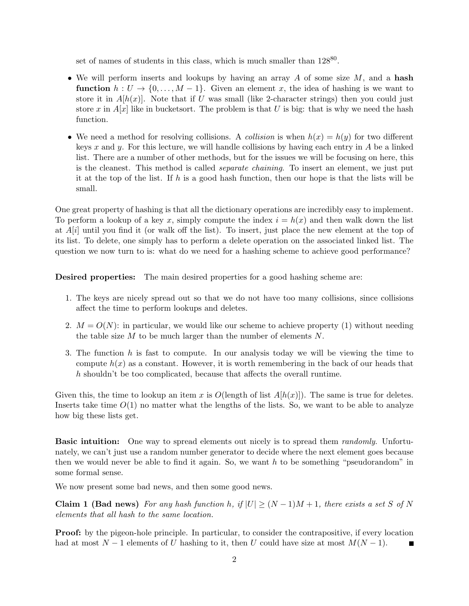set of names of students in this class, which is much smaller than  $128^{80}$ .

- We will perform inserts and lookups by having an array  $A$  of some size  $M$ , and a hash **function**  $h: U \to \{0, \ldots, M-1\}$ . Given an element x, the idea of hashing is we want to store it in  $A[h(x)]$ . Note that if U was small (like 2-character strings) then you could just store x in  $A[x]$  like in bucketsort. The problem is that U is big: that is why we need the hash function.
- We need a method for resolving collisions. A *collision* is when  $h(x) = h(y)$  for two different keys x and y. For this lecture, we will handle collisions by having each entry in  $A$  be a linked list. There are a number of other methods, but for the issues we will be focusing on here, this is the cleanest. This method is called separate chaining. To insert an element, we just put it at the top of the list. If h is a good hash function, then our hope is that the lists will be small.

One great property of hashing is that all the dictionary operations are incredibly easy to implement. To perform a lookup of a key x, simply compute the index  $i = h(x)$  and then walk down the list at  $A[i]$  until you find it (or walk off the list). To insert, just place the new element at the top of its list. To delete, one simply has to perform a delete operation on the associated linked list. The question we now turn to is: what do we need for a hashing scheme to achieve good performance?

Desired properties: The main desired properties for a good hashing scheme are:

- 1. The keys are nicely spread out so that we do not have too many collisions, since collisions affect the time to perform lookups and deletes.
- 2.  $M = O(N)$ : in particular, we would like our scheme to achieve property (1) without needing the table size  $M$  to be much larger than the number of elements  $N$ .
- 3. The function  $h$  is fast to compute. In our analysis today we will be viewing the time to compute  $h(x)$  as a constant. However, it is worth remembering in the back of our heads that h shouldn't be too complicated, because that affects the overall runtime.

Given this, the time to lookup an item x is  $O(\text{length of list } A[h(x)])$ . The same is true for deletes. Inserts take time  $O(1)$  no matter what the lengths of the lists. So, we want to be able to analyze how big these lists get.

**Basic intuition:** One way to spread elements out nicely is to spread them *randomly*. Unfortunately, we can't just use a random number generator to decide where the next element goes because then we would never be able to find it again. So, we want  $h$  to be something "pseudorandom" in some formal sense.

We now present some bad news, and then some good news.

Claim 1 (Bad news) For any hash function h, if  $|U| \geq (N-1)M+1$ , there exists a set S of N elements that all hash to the same location.

**Proof:** by the pigeon-hole principle. In particular, to consider the contrapositive, if every location had at most  $N-1$  elements of U hashing to it, then U could have size at most  $M(N-1)$ .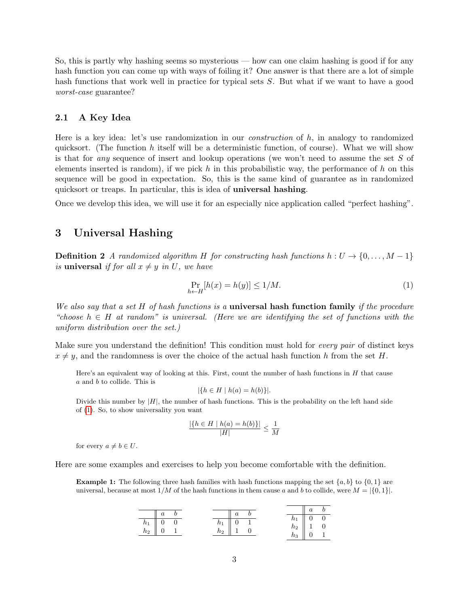So, this is partly why hashing seems so mysterious — how can one claim hashing is good if for any hash function you can come up with ways of foiling it? One answer is that there are a lot of simple hash functions that work well in practice for typical sets S. But what if we want to have a good worst-case guarantee?

#### 2.1 A Key Idea

Here is a key idea: let's use randomization in our *construction* of h, in analogy to randomized quicksort. (The function h itself will be a deterministic function, of course). What we will show is that for any sequence of insert and lookup operations (we won't need to assume the set S of elements inserted is random), if we pick h in this probabilistic way, the performance of h on this sequence will be good in expectation. So, this is the same kind of guarantee as in randomized quicksort or treaps. In particular, this is idea of universal hashing.

Once we develop this idea, we will use it for an especially nice application called "perfect hashing".

### 3 Universal Hashing

**Definition 2** A randomized algorithm H for constructing hash functions  $h: U \rightarrow \{0, \ldots, M-1\}$ is universal if for all  $x \neq y$  in U, we have

<span id="page-2-0"></span>
$$
\Pr_{h \leftarrow H}[h(x) = h(y)] \le 1/M. \tag{1}
$$

We also say that a set  $H$  of hash functions is a **universal hash function family** if the procedure "choose  $h \in H$  at random" is universal. (Here we are identifying the set of functions with the uniform distribution over the set.)

Make sure you understand the definition! This condition must hold for every pair of distinct keys  $x \neq y$ , and the randomness is over the choice of the actual hash function h from the set H.

Here's an equivalent way of looking at this. First, count the number of hash functions in  $H$  that cause a and b to collide. This is

$$
|\{h \in H \mid h(a) = h(b)\}|.
$$

Divide this number by  $|H|$ , the number of hash functions. This is the probability on the left hand side of [\(1\)](#page-2-0). So, to show universality you want

$$
\frac{|\{h \in H \mid h(a) = h(b)\}|}{|H|} \le \frac{1}{M}
$$

for every  $a \neq b \in U$ .

Here are some examples and exercises to help you become comfortable with the definition.

**Example 1:** The following three hash families with hash functions mapping the set  $\{a, b\}$  to  $\{0, 1\}$  are universal, because at most  $1/M$  of the hash functions in them cause a and b to collide, were  $M = \{0, 1\}$ .

|                                                                                  |  |       | $\boldsymbol{a}$ |  |                                                                             | $\overline{a}$                                 | $\boldsymbol{b}$ |
|----------------------------------------------------------------------------------|--|-------|------------------|--|-----------------------------------------------------------------------------|------------------------------------------------|------------------|
| $\begin{array}{c c c c c} \hline \quad & a \\ \hline \quad & a \end{array}$      |  |       |                  |  | $h_1$                                                                       | $\begin{vmatrix} 0 & 0 \\ 0 & 0 \end{vmatrix}$ |                  |
| $\begin{array}{ c c c } \hline h_1 & 0 & 0 \\ h_2 & 0 & 1 \\ \hline \end{array}$ |  | $h_1$ |                  |  |                                                                             |                                                |                  |
|                                                                                  |  | $h_2$ | $\parallel$ 1 0  |  | $\begin{array}{c cc} h_1 & 0 & 0 \\ h_2 & 1 & 0 \\ h_3 & 0 & 1 \end{array}$ |                                                |                  |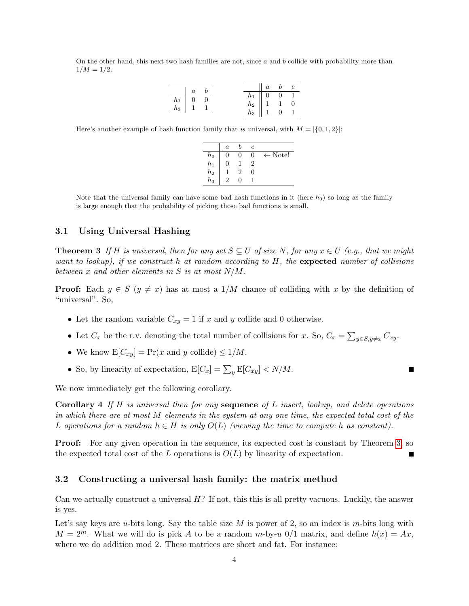On the other hand, this next two hash families are not, since  $a$  and  $b$  collide with probability more than  $1/M = 1/2$ .

|                    |  | $n_1$ |   | U |   |
|--------------------|--|-------|---|---|---|
| $\frac{h_1}{h_1}$  |  | $h_2$ | м |   | U |
| $\scriptstyle n_3$ |  | nз    |   |   |   |

Here's another example of hash function family that is universal, with  $M = |\{0, 1, 2\}|$ :

|             | $\boldsymbol{a}$ | с |                    |
|-------------|------------------|---|--------------------|
| $h_0$       |                  | ∩ | $\leftarrow$ Note! |
| $h_1$       |                  |   |                    |
| $\bar{h}_2$ |                  | ∩ |                    |
| h3          |                  |   |                    |

Note that the universal family can have some bad hash functions in it (here  $h_0$ ) so long as the family is large enough that the probability of picking those bad functions is small.

### 3.1 Using Universal Hashing

<span id="page-3-0"></span>**Theorem 3** If H is universal, then for any set  $S \subseteq U$  of size N, for any  $x \in U$  (e.g., that we might want to lookup), if we construct h at random according to  $H$ , the expected number of collisions between x and other elements in S is at most  $N/M$ .

**Proof:** Each  $y \in S$  ( $y \neq x$ ) has at most a 1/M chance of colliding with x by the definition of "universal". So,

- Let the random variable  $C_{xy} = 1$  if x and y collide and 0 otherwise.
- Let  $C_x$  be the r.v. denoting the total number of collisions for x. So,  $C_x = \sum_{y \in S, y \neq x} C_{xy}$ .
- We know  $E[C_{xy}] = Pr(x \text{ and } y \text{ collide}) \leq 1/M$ .
- So, by linearity of expectation,  $E[C_x] = \sum_y E[C_{xy}] < N/M$ .

We now immediately get the following corollary.

**Corollary 4** If H is universal then for any **sequence** of L insert, lookup, and delete operations in which there are at most M elements in the system at any one time, the expected total cost of the L operations for a random  $h \in H$  is only  $O(L)$  (viewing the time to compute h as constant).

**Proof:** For any given operation in the sequence, its expected cost is constant by Theorem [3,](#page-3-0) so the expected total cost of the L operations is  $O(L)$  by linearity of expectation.

#### 3.2 Constructing a universal hash family: the matrix method

Can we actually construct a universal H? If not, this this is all pretty vacuous. Luckily, the answer is yes.

Let's say keys are u-bits long. Say the table size  $M$  is power of 2, so an index is m-bits long with  $M = 2^m$ . What we will do is pick A to be a random m-by-u 0/1 matrix, and define  $h(x) = Ax$ , where we do addition mod 2. These matrices are short and fat. For instance: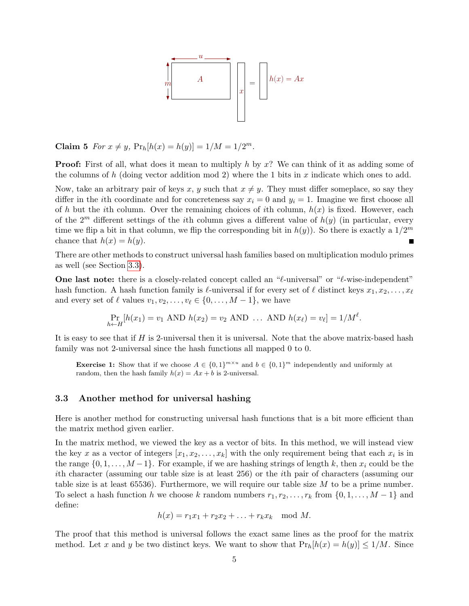

Claim 5  $For x \neq y$ ,  $Pr_h[h(x) = h(y)] = 1/M = 1/2^m$ .

**Proof:** First of all, what does it mean to multiply h by x? We can think of it as adding some of the columns of h (doing vector addition mod 2) where the 1 bits in x indicate which ones to add.

Now, take an arbitrary pair of keys x, y such that  $x \neq y$ . They must differ someplace, so say they differ in the *i*th coordinate and for concreteness say  $x_i = 0$  and  $y_i = 1$ . Imagine we first choose all of h but the ith column. Over the remaining choices of ith column,  $h(x)$  is fixed. However, each of the  $2^m$  different settings of the *i*th column gives a different value of  $h(y)$  (in particular, every time we flip a bit in that column, we flip the corresponding bit in  $h(y)$ ). So there is exactly a  $1/2^m$ chance that  $h(x) = h(y)$ . П

There are other methods to construct universal hash families based on multiplication modulo primes as well (see Section [3.3\)](#page-4-0).

One last note: there is a closely-related concept called an " $\ell$ -universal" or " $\ell$ -wise-independent" hash function. A hash function family is  $\ell$ -universal if for every set of  $\ell$  distinct keys  $x_1, x_2, \ldots, x_\ell$ and every set of  $\ell$  values  $v_1, v_2, \ldots, v_\ell \in \{0, \ldots, M - 1\}$ , we have

$$
\Pr_{h \leftarrow H}[h(x_1) = v_1 \text{ AND } h(x_2) = v_2 \text{ AND } \dots \text{ AND } h(x_\ell) = v_\ell] = 1/M^{\ell}.
$$

It is easy to see that if H is 2-universal then it is universal. Note that the above matrix-based hash family was not 2-universal since the hash functions all mapped 0 to 0.

**Exercise 1:** Show that if we choose  $A \in \{0,1\}^{m \times u}$  and  $b \in \{0,1\}^m$  independently and uniformly at random, then the hash family  $h(x) = Ax + b$  is 2-universal.

#### <span id="page-4-0"></span>3.3 Another method for universal hashing

Here is another method for constructing universal hash functions that is a bit more efficient than the matrix method given earlier.

In the matrix method, we viewed the key as a vector of bits. In this method, we will instead view the key x as a vector of integers  $[x_1, x_2, \ldots, x_k]$  with the only requirement being that each  $x_i$  is in the range  $\{0, 1, \ldots, M-1\}$ . For example, if we are hashing strings of length k, then  $x_i$  could be the ith character (assuming our table size is at least 256) or the ith pair of characters (assuming our table size is at least  $65536$ . Furthermore, we will require our table size M to be a prime number. To select a hash function h we choose k random numbers  $r_1, r_2, \ldots, r_k$  from  $\{0, 1, \ldots, M-1\}$  and define:

$$
h(x) = r_1x_1 + r_2x_2 + \ldots + r_kx_k \mod M.
$$

The proof that this method is universal follows the exact same lines as the proof for the matrix method. Let x and y be two distinct keys. We want to show that  $Pr_h[h(x) = h(y)] \le 1/M$ . Since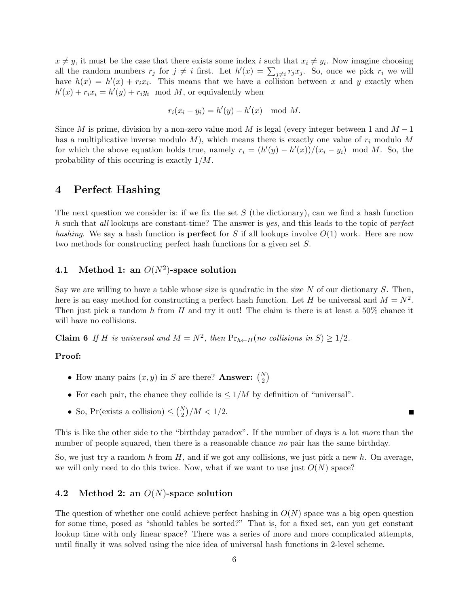$x \neq y$ , it must be the case that there exists some index i such that  $x_i \neq y_i$ . Now imagine choosing all the random numbers  $r_j$  for  $j \neq i$  first. Let  $h'(x) = \sum_{j \neq i} r_j x_j$ . So, once we pick  $r_i$  we will have  $h(x) = h'(x) + r_i x_i$ . This means that we have a collision between x and y exactly when  $h'(x) + r_i x_i = h'(y) + r_i y_i \mod M$ , or equivalently when

$$
r_i(x_i - y_i) = h'(y) - h'(x) \mod M.
$$

Since M is prime, division by a non-zero value mod M is legal (every integer between 1 and  $M-1$ has a multiplicative inverse modulo  $M$ ), which means there is exactly one value of  $r_i$  modulo M for which the above equation holds true, namely  $r_i = (h'(y) - h'(x))/(x_i - y_i) \mod M$ . So, the probability of this occuring is exactly 1/M.

### 4 Perfect Hashing

The next question we consider is: if we fix the set  $S$  (the dictionary), can we find a hash function h such that all lookups are constant-time? The answer is yes, and this leads to the topic of perfect hashing. We say a hash function is **perfect** for S if all lookups involve  $O(1)$  work. Here are now two methods for constructing perfect hash functions for a given set S.

### 4.1 Method 1: an  $O(N^2)$ -space solution

Say we are willing to have a table whose size is quadratic in the size  $N$  of our dictionary  $S$ . Then, here is an easy method for constructing a perfect hash function. Let H be universal and  $M = N^2$ . Then just pick a random h from H and try it out! The claim is there is at least a  $50\%$  chance it will have no collisions.

**Claim 6** If H is universal and  $M = N^2$ , then  $Pr_{h \leftarrow H}(\text{no collisions in } S) \geq 1/2$ .

#### Proof:

- How many pairs  $(x, y)$  in S are there? Answer:  $\binom{N}{2}$
- For each pair, the chance they collide is  $\leq 1/M$  by definition of "universal".
- So, Pr(exists a collision)  $\leq \binom{N}{2}/M < 1/2$ .

This is like the other side to the "birthday paradox". If the number of days is a lot more than the number of people squared, then there is a reasonable chance no pair has the same birthday.

So, we just try a random h from H, and if we got any collisions, we just pick a new h. On average, we will only need to do this twice. Now, what if we want to use just  $O(N)$  space?

#### 4.2 Method 2: an  $O(N)$ -space solution

The question of whether one could achieve perfect hashing in  $O(N)$  space was a big open question for some time, posed as "should tables be sorted?" That is, for a fixed set, can you get constant lookup time with only linear space? There was a series of more and more complicated attempts, until finally it was solved using the nice idea of universal hash functions in 2-level scheme.